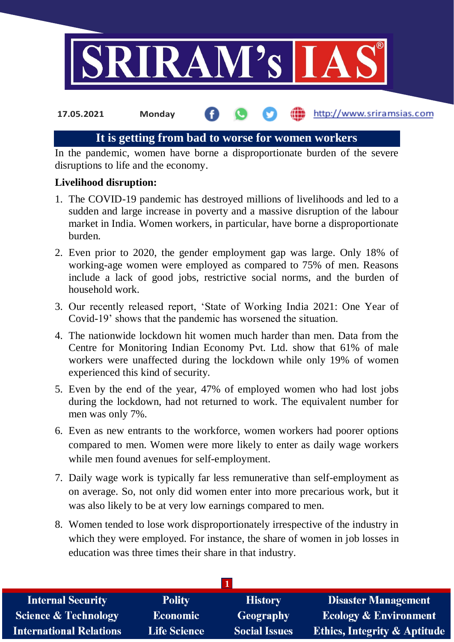

# **It is getting from bad to worse for women workers**

In the pandemic, women have borne a disproportionate burden of the severe disruptions to life and the economy.

### **Livelihood disruption:**

- 1. The COVID-19 pandemic has destroyed millions of livelihoods and led to a sudden and large increase in poverty and a massive disruption of the labour market in India. Women workers, in particular, have borne a disproportionate burden.
- 2. Even prior to 2020, the gender employment gap was large. Only 18% of working-age women were employed as compared to 75% of men. Reasons include a lack of good jobs, restrictive social norms, and the burden of household work.
- 3. Our recently released report, 'State of Working India 2021: One Year of Covid-19' shows that the pandemic has worsened the situation.
- 4. The nationwide lockdown hit women much harder than men. Data from the Centre for Monitoring Indian Economy Pvt. Ltd. show that 61% of male workers were unaffected during the lockdown while only 19% of women experienced this kind of security.
- 5. Even by the end of the year, 47% of employed women who had lost jobs during the lockdown, had not returned to work. The equivalent number for men was only 7%.
- 6. Even as new entrants to the workforce, women workers had poorer options compared to men. Women were more likely to enter as daily wage workers while men found avenues for self-employment.
- 7. Daily wage work is typically far less remunerative than self-employment as on average. So, not only did women enter into more precarious work, but it was also likely to be at very low earnings compared to men.
- 8. Women tended to lose work disproportionately irrespective of the industry in which they were employed. For instance, the share of women in job losses in education was three times their share in that industry.

| <b>Internal Security</b>        | <b>Polity</b>       | <b>History</b>       | <b>Disaster Management</b>              |
|---------------------------------|---------------------|----------------------|-----------------------------------------|
| <b>Science &amp; Technology</b> | <b>Economic</b>     | Geography            | <b>Ecology &amp; Environment</b>        |
| <b>International Relations</b>  | <b>Life Science</b> | <b>Social Issues</b> | <b>Ethics, Integrity &amp; Aptitude</b> |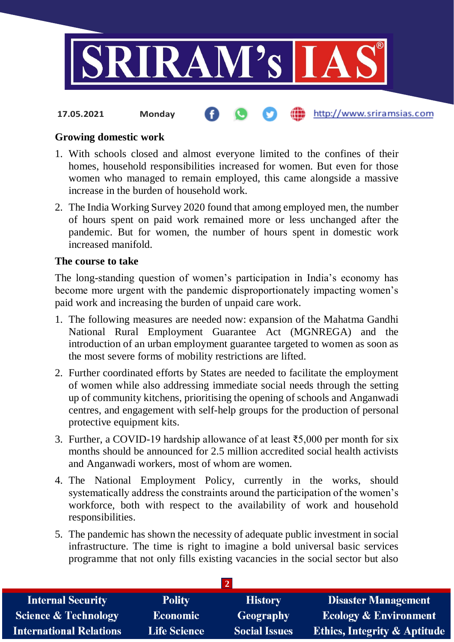

### **Growing domestic work**

- 1. With schools closed and almost everyone limited to the confines of their homes, household responsibilities increased for women. But even for those women who managed to remain employed, this came alongside a massive increase in the burden of household work.
- 2. The India Working Survey 2020 found that among employed men, the number of hours spent on paid work remained more or less unchanged after the pandemic. But for women, the number of hours spent in domestic work increased manifold.

#### **The course to take**

The long-standing question of women's participation in India's economy has become more urgent with the pandemic disproportionately impacting women's paid work and increasing the burden of unpaid care work.

- 1. The following measures are needed now: expansion of the Mahatma Gandhi National Rural Employment Guarantee Act (MGNREGA) and the introduction of an urban employment guarantee targeted to women as soon as the most severe forms of mobility restrictions are lifted.
- 2. Further coordinated efforts by States are needed to facilitate the employment of women while also addressing immediate social needs through the setting up of community kitchens, prioritising the opening of schools and Anganwadi centres, and engagement with self-help groups for the production of personal protective equipment kits.
- 3. Further, a COVID-19 hardship allowance of at least ₹5,000 per month for six months should be announced for 2.5 million accredited social health activists and Anganwadi workers, most of whom are women.
- 4. The National Employment Policy, currently in the works, should systematically address the constraints around the participation of the women's workforce, both with respect to the availability of work and household responsibilities.
- 5. The pandemic has shown the necessity of adequate public investment in social infrastructure. The time is right to imagine a bold universal basic services programme that not only fills existing vacancies in the social sector but also

| <b>Internal Security</b>        | <b>Polity</b>       | <b>History</b>       | <b>Disaster Management</b>              |  |
|---------------------------------|---------------------|----------------------|-----------------------------------------|--|
| <b>Science &amp; Technology</b> | <b>Economic</b>     | Geography            | <b>Ecology &amp; Environment</b>        |  |
| <b>International Relations</b>  | <b>Life Science</b> | <b>Social Issues</b> | <b>Ethics, Integrity &amp; Aptitude</b> |  |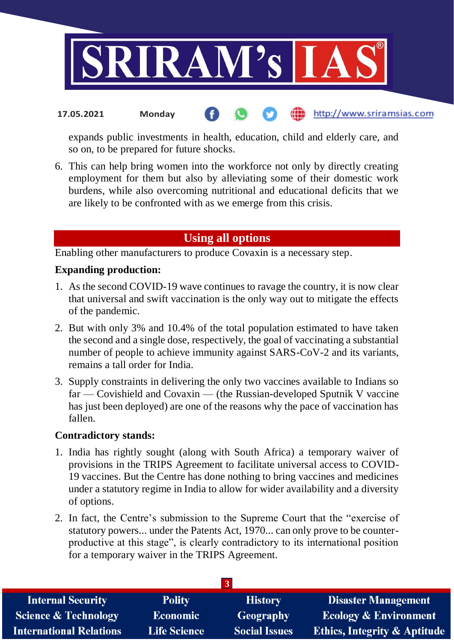

expands public investments in health, education, child and elderly care, and so on, to be prepared for future shocks.

6. This can help bring women into the workforce not only by directly creating employment for them but also by alleviating some of their domestic work burdens, while also overcoming nutritional and educational deficits that we are likely to be confronted with as we emerge from this crisis.

# **Using all options**

Enabling other manufacturers to produce Covaxin is a necessary step.

### **Expanding production:**

- 1. As the second COVID-19 wave continues to ravage the country, it is now clear that universal and swift vaccination is the only way out to mitigate the effects of the pandemic.
- 2. But with only 3% and 10.4% of the total population estimated to have taken the second and a single dose, respectively, the goal of vaccinating a substantial number of people to achieve immunity against SARS-CoV-2 and its variants, remains a tall order for India.
- 3. Supply constraints in delivering the only two vaccines available to Indians so far — Covishield and Covaxin — (the Russian-developed Sputnik V vaccine has just been deployed) are one of the reasons why the pace of vaccination has fallen.

#### **Contradictory stands:**

- 1. India has rightly sought (along with South Africa) a temporary waiver of provisions in the TRIPS Agreement to facilitate universal access to COVID-19 vaccines. But the Centre has done nothing to bring vaccines and medicines under a statutory regime in India to allow for wider availability and a diversity of options.
- 2. In fact, the Centre's submission to the Supreme Court that the "exercise of statutory powers... under the Patents Act, 1970... can only prove to be counterproductive at this stage", is clearly contradictory to its international position for a temporary waiver in the TRIPS Agreement.

| <b>Internal Security</b>        | <b>Polity</b>       | <b>History</b>       | <b>Disaster Management</b>              |
|---------------------------------|---------------------|----------------------|-----------------------------------------|
| <b>Science &amp; Technology</b> | <b>Economic</b>     | Geography            | <b>Ecology &amp; Environment</b>        |
| <b>International Relations</b>  | <b>Life Science</b> | <b>Social Issues</b> | <b>Ethics, Integrity &amp; Aptitude</b> |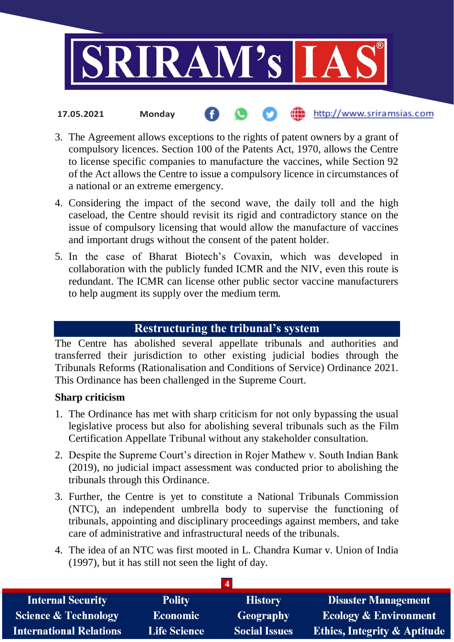

- http://www.sriramsias.com **17.05.2021 Monday**
- 3. The Agreement allows exceptions to the rights of patent owners by a grant of compulsory licences. Section 100 of the Patents Act, 1970, allows the Centre to license specific companies to manufacture the vaccines, while Section 92 of the Act allows the Centre to issue a compulsory licence in circumstances of a national or an extreme emergency.
- 4. Considering the impact of the second wave, the daily toll and the high caseload, the Centre should revisit its rigid and contradictory stance on the issue of compulsory licensing that would allow the manufacture of vaccines and important drugs without the consent of the patent holder.
- 5. In the case of Bharat Biotech's Covaxin, which was developed in collaboration with the publicly funded ICMR and the NIV, even this route is redundant. The ICMR can license other public sector vaccine manufacturers to help augment its supply over the medium term.

# **Restructuring the tribunal's system**

The Centre has abolished several appellate tribunals and authorities and transferred their jurisdiction to other existing judicial bodies through the Tribunals Reforms (Rationalisation and Conditions of Service) Ordinance 2021. This Ordinance has been challenged in the Supreme Court.

## **Sharp criticism**

- 1. The Ordinance has met with sharp criticism for not only bypassing the usual legislative process but also for abolishing several tribunals such as the Film Certification Appellate Tribunal without any stakeholder consultation.
- 2. Despite the Supreme Court's direction in Rojer Mathew v. South Indian Bank (2019), no judicial impact assessment was conducted prior to abolishing the tribunals through this Ordinance.
- 3. Further, the Centre is yet to constitute a National Tribunals Commission (NTC), an independent umbrella body to supervise the functioning of tribunals, appointing and disciplinary proceedings against members, and take care of administrative and infrastructural needs of the tribunals.
- 4. The idea of an NTC was first mooted in L. Chandra Kumar v. Union of India (1997), but it has still not seen the light of day.

| <b>Internal Security</b>        | <b>Polity</b>       | <b>History</b>       | <b>Disaster Management</b>              |
|---------------------------------|---------------------|----------------------|-----------------------------------------|
| <b>Science &amp; Technology</b> | <b>Economic</b>     | <b>Geography</b>     | <b>Ecology &amp; Environment</b>        |
| <b>International Relations</b>  | <b>Life Science</b> | <b>Social Issues</b> | <b>Ethics, Integrity &amp; Aptitude</b> |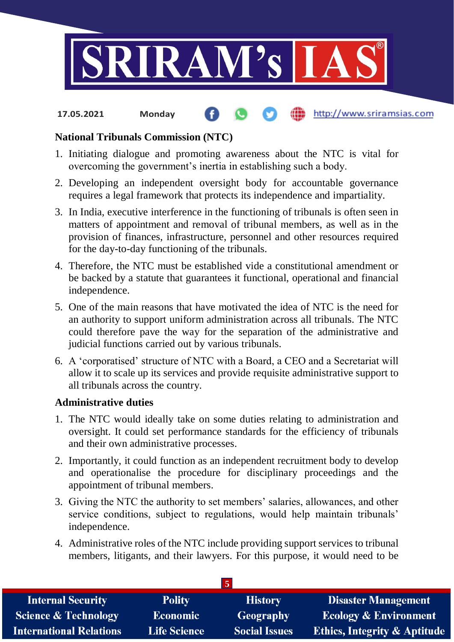

# **National Tribunals Commission (NTC)**

- 1. Initiating dialogue and promoting awareness about the NTC is vital for overcoming the government's inertia in establishing such a body.
- 2. Developing an independent oversight body for accountable governance requires a legal framework that protects its independence and impartiality.
- 3. In India, executive interference in the functioning of tribunals is often seen in matters of appointment and removal of tribunal members, as well as in the provision of finances, infrastructure, personnel and other resources required for the day-to-day functioning of the tribunals.
- 4. Therefore, the NTC must be established vide a constitutional amendment or be backed by a statute that guarantees it functional, operational and financial independence.
- 5. One of the main reasons that have motivated the idea of NTC is the need for an authority to support uniform administration across all tribunals. The NTC could therefore pave the way for the separation of the administrative and judicial functions carried out by various tribunals.
- 6. A 'corporatised' structure of NTC with a Board, a CEO and a Secretariat will allow it to scale up its services and provide requisite administrative support to all tribunals across the country.

## **Administrative duties**

- 1. The NTC would ideally take on some duties relating to administration and oversight. It could set performance standards for the efficiency of tribunals and their own administrative processes.
- 2. Importantly, it could function as an independent recruitment body to develop and operationalise the procedure for disciplinary proceedings and the appointment of tribunal members.
- 3. Giving the NTC the authority to set members' salaries, allowances, and other service conditions, subject to regulations, would help maintain tribunals' independence.
- 4. Administrative roles of the NTC include providing support services to tribunal members, litigants, and their lawyers. For this purpose, it would need to be

| <b>Internal Security</b>        | <b>Polity</b>       | <b>History</b>       | <b>Disaster Management</b>              |
|---------------------------------|---------------------|----------------------|-----------------------------------------|
| <b>Science &amp; Technology</b> | <b>Economic</b>     | <b>Geography</b>     | <b>Ecology &amp; Environment</b>        |
| <b>International Relations</b>  | <b>Life Science</b> | <b>Social Issues</b> | <b>Ethics, Integrity &amp; Aptitude</b> |